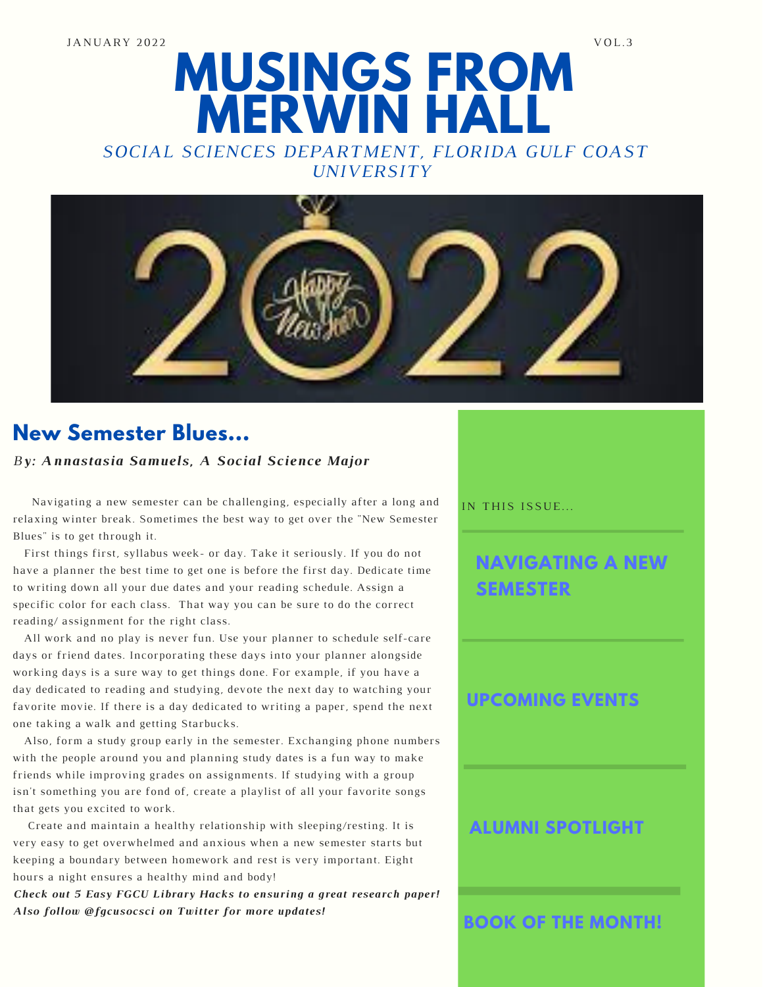# **MUSINGS FROM MERWIN HALL**

*SOCIAL SCIENCES DEPARTMENT, FLORIDA GULF COAST UNIVERSITY*



# **New Semester Blues...**

#### *By: Annastasia Samuels, A Social Science Major*

Navigating a new semester can be challenging, especially after a long and relaxing winter break. Sometimes the best way to get over the "New Semester Blues" is to get through it.

First things first, syllabus week- or day. Take it seriously. If you do not have a planner the best time to get one is before the first day. Dedicate time to writing down all your due dates and your reading schedule. Assign a specific color for each class. That way you can be sure to do the correct reading/ assignment for the right class.

All work and no play is never fun. Use your planner to schedule self-care days or friend dates. Incorporating these days into your planner alongside working days is a sure way to get things done. For example, if you have a day dedicated to reading and studying, devote the next day to watching your favorite movie. If there is a day dedicated to writing a paper, spend the next one taking a walk and getting Starbucks.

Also, form a study group early in the semester. Exchanging phone numbers with the people around you and planning study dates is a fun way to make friends while improving grades on assignments. If studying with a group isn't something you are fond of, create a playlist of all your favorite songs that gets you excited to work.

Create and maintain a healthy relationship with sleeping/resting. It is very easy to get overwhelmed and anxious when a new semester starts but keeping a boundary between homework and rest is very important. Eight hours a night ensures a healthy mind and body!

*Check out 5 Easy FGCU Library Hacks to ensuring a great research paper! Also follow @fgcusocsci on Twitter for more updates!*

IN THIS ISSUE...

## **NAVIGATING A NEW SEMESTER**

#### **UPCOMING EVENTS**

### **ALUMNI SPOTLIGHT**

**BOOK OF THE MONTH!**